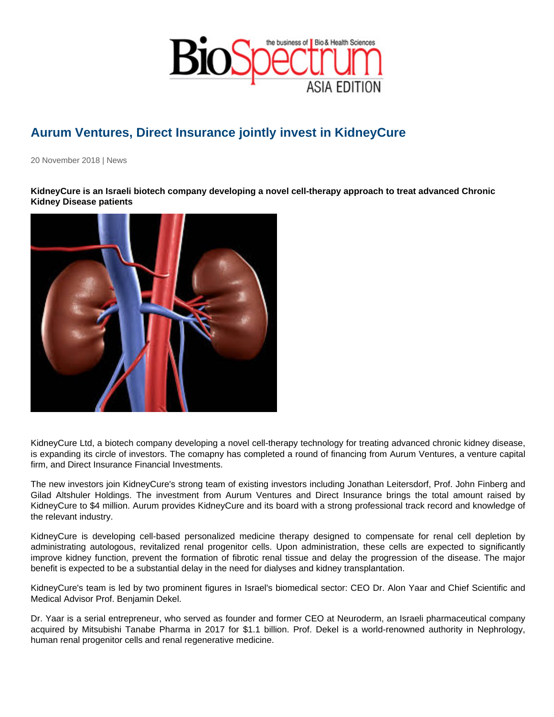## Aurum Ventures, Direct Insurance jointly invest in KidneyCure

20 November 2018 | News

KidneyCure is an Israeli biotech company developing a novel cell-therapy approach to treat advanced Chronic Kidney Disease patients

KidneyCure Ltd, a biotech company developing a novel cell-therapy technology for treating advanced chronic kidney disease, is expanding its circle of investors. The comapny has completed a round of financing from Aurum Ventures, a venture capital firm, and Direct Insurance Financial Investments.

The new investors join KidneyCure's strong team of existing investors including Jonathan Leitersdorf, Prof. John Finberg and Gilad Altshuler Holdings. The investment from Aurum Ventures and Direct Insurance brings the total amount raised by KidneyCure to \$4 million. Aurum provides KidneyCure and its board with a strong professional track record and knowledge of the relevant industry.

KidneyCure is developing cell-based personalized medicine therapy designed to compensate for renal cell depletion by administrating autologous, revitalized renal progenitor cells. Upon administration, these cells are expected to significantly improve kidney function, prevent the formation of fibrotic renal tissue and delay the progression of the disease. The major benefit is expected to be a substantial delay in the need for dialyses and kidney transplantation.

KidneyCure's team is led by two prominent figures in Israel's biomedical sector: CEO Dr. Alon Yaar and Chief Scientific and Medical Advisor Prof. Benjamin Dekel.

Dr. Yaar is a serial entrepreneur, who served as founder and former CEO at Neuroderm, an Israeli pharmaceutical company acquired by Mitsubishi Tanabe Pharma in 2017 for \$1.1 billion. Prof. Dekel is a world-renowned authority in Nephrology, human renal progenitor cells and renal regenerative medicine.